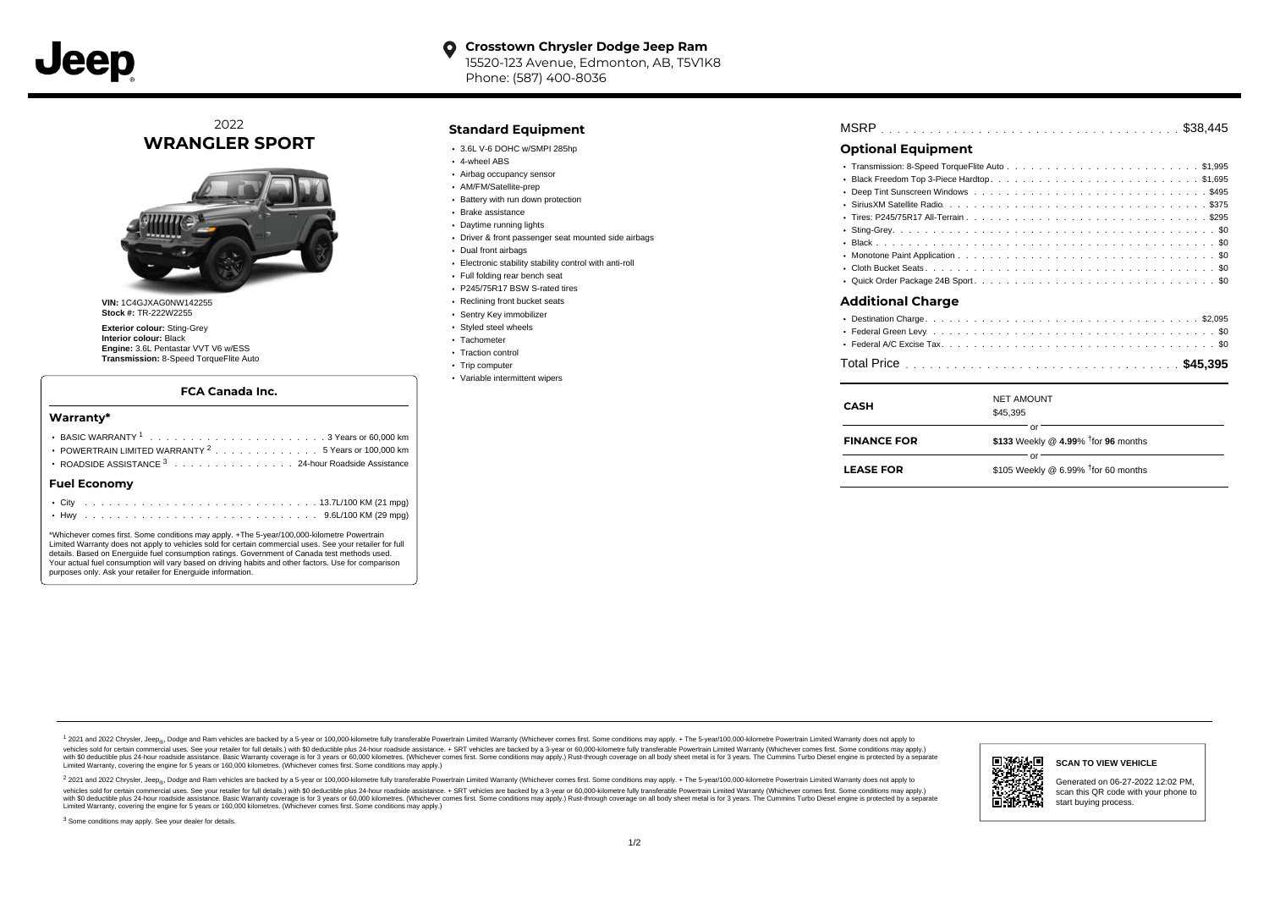

# 2022 **WRANGLER SPORT**



**VIN:** 1C4GJXAG0NW142255 **Stock #:** TR-222W2255

**Exterior colour:** Sting-Grey **Interior colour:** Black **Engine:** 3.6L Pentastar VVT V6 w/ESS **Transmission:** 8-Speed TorqueFlite Auto

### **FCA Canada Inc.**

#### **Warranty\***

|                                                                |  |  |  |  | $10 - 11$ $11001$ $1111$ $101$ |
|----------------------------------------------------------------|--|--|--|--|--------------------------------|
| <b>Fuel Economy</b>                                            |  |  |  |  |                                |
| ROADSIDE ASSISTANCE 3 24-hour Roadside Assistance              |  |  |  |  |                                |
| POWERTRAIN LIMITED WARRANTY <sup>2</sup> 5 Years or 100,000 km |  |  |  |  |                                |
|                                                                |  |  |  |  |                                |
|                                                                |  |  |  |  |                                |

\*Whichever comes first. Some conditions may apply. +The 5-year/100,000-kilometre Powertrain Limited Warranty does not apply to vehicles sold for certain commercial uses. See your retailer for full details. Based on Energuide fuel consumption ratings. Government of Canada test methods used. Your actual fuel consumption will vary based on driving habits and other factors. Use for comparison purposes only. Ask your retailer for Energuide information.

### **Standard Equipment**

- $\cdot$  3.6L V-6 DOHC w/SMPI 285hp
- 4-wheel ABS
- Airbag occupancy sensor
- AM/FM/Satellite-prep
- Battery with run down protection
- Brake assistance
- Daytime running lights Driver & front passenger seat mounted side airbags
- Dual front airbags
- 
- Electronic stability stability control with anti-roll
- Full folding rear bench seat P245/75R17 BSW S-rated tires
- 
- Reclining front bucket seats Sentry Key immobilizer
- 
- Styled steel wheels · Tachometer
- Traction control
- Trip computer
	- Variable intermittent wipers

| MSRP |  |  |  |  |  |  |  |  |  |  |  |  |  |  |  |  |  |  |  |  |  |  |  |  |  |  |  |  |  |  |  |  |  |  |  |  |  |  |  |  |  |  |  |
|------|--|--|--|--|--|--|--|--|--|--|--|--|--|--|--|--|--|--|--|--|--|--|--|--|--|--|--|--|--|--|--|--|--|--|--|--|--|--|--|--|--|--|--|
|------|--|--|--|--|--|--|--|--|--|--|--|--|--|--|--|--|--|--|--|--|--|--|--|--|--|--|--|--|--|--|--|--|--|--|--|--|--|--|--|--|--|--|--|

## **Optional Equipment**

| <b>Additional Charge</b> |
|--------------------------|

| CASH               | <b>NET AMOUNT</b><br>\$45,395                         |
|--------------------|-------------------------------------------------------|
| <b>FINANCE FOR</b> | Ωľ<br>\$133 Weekly @ 4.99% <sup>†</sup> for 96 months |
| <b>LEASE FOR</b>   | Ωľ<br>\$105 Weekly @ 6.99% $†$ for 60 months          |

1 2021 and 2022 Chrysler, Jeep<sub>er</sub>, Dodge and Ram vehicles are backed by a 5-year or 100,000-kilometre fully transferable Powertrain Limited Warranty (Whichever comes first. Some conditions may apply. + The 5-year/100,000vehicles sold for certain commercial uses. See your retailer for full details.) with \$0 deductible plus 24 hour roadside assistance. + SRT vehicles are backed by a 3-year or 60,000-kilometre fully transferable Powertrain L versus and contract the mean of the contract of the contract with a contract with a contract the contract of the search of the contract and a control of the contract and contract and control of the search of the search of Limited Warranty, covering the engine for 5 years or 160,000 kilometres. (Whichever comes first. Some conditions may apply.)

<sup>2</sup> 2021 and 2022 Chrysler, Jeep<sub>®</sub>, Dodge and Ram vehicles are backed by a 5-year or 100,000-kilometre fully transferable Powertrain Limited Warranty (Whichever comes first. Some conditions may apply. + The 5-year/100,000 vehicles sold for certain commercial uses. See your retailer for full details.) with SO deductible plus 24-hour roadside assistance. + SRT vehicles are backed by a 3-year or 60.000-kilometre fully transferable Powertrain. with S0 deductible plus 24-hour roadside assistance. Basic Warranty coverage is for 3 years or 60,000 kilometres. (Whichever comes first. Some conditions may apply.) Rust-through coverage on all body sheet metal is for 3 y



### **SCAN TO VIEW VEHICLE**

Generated on 06-27-2022 12:02 PM, scan this QR code with your phone to start buying process.

<sup>3</sup> Some conditions may apply. See your dealer for details.